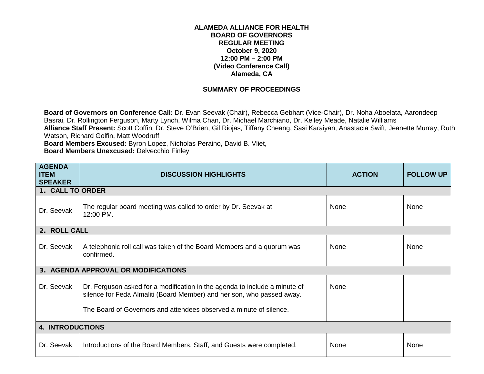## **ALAMEDA ALLIANCE FOR HEALTH BOARD OF GOVERNORS REGULAR MEETING October 9, 2020 12:00 PM – 2:00 PM (Video Conference Call) Alameda, CA**

## **SUMMARY OF PROCEEDINGS**

**Board of Governors on Conference Call:** Dr. Evan Seevak (Chair), Rebecca Gebhart (Vice-Chair), Dr. Noha Aboelata, Aarondeep Basrai, Dr. Rollington Ferguson, Marty Lynch, Wilma Chan, Dr. Michael Marchiano, Dr. Kelley Meade, Natalie Williams **Alliance Staff Present:** Scott Coffin, Dr. Steve O'Brien, Gil Riojas, Tiffany Cheang, Sasi Karaiyan, Anastacia Swift, Jeanette Murray, Ruth Watson, Richard Golfin, Matt Woodruff

**Board Members Excused:** Byron Lopez, Nicholas Peraino, David B. Vliet,

**Board Members Unexcused:** Delvecchio Finley

| <b>AGENDA</b><br><b>ITEM</b><br><b>SPEAKER</b> | <b>DISCUSSION HIGHLIGHTS</b>                                                                                                                                                                                               | <b>ACTION</b> | <b>FOLLOW UP</b> |  |  |
|------------------------------------------------|----------------------------------------------------------------------------------------------------------------------------------------------------------------------------------------------------------------------------|---------------|------------------|--|--|
| 1. CALL TO ORDER                               |                                                                                                                                                                                                                            |               |                  |  |  |
| Dr. Seevak                                     | The regular board meeting was called to order by Dr. Seevak at<br>12:00 PM.                                                                                                                                                | None          | None             |  |  |
| 2. ROLL CALL                                   |                                                                                                                                                                                                                            |               |                  |  |  |
| Dr. Seevak                                     | A telephonic roll call was taken of the Board Members and a quorum was<br>confirmed.                                                                                                                                       | None          | None             |  |  |
|                                                | 3. AGENDA APPROVAL OR MODIFICATIONS                                                                                                                                                                                        |               |                  |  |  |
| Dr. Seevak                                     | Dr. Ferguson asked for a modification in the agenda to include a minute of<br>silence for Feda Almaliti (Board Member) and her son, who passed away.<br>The Board of Governors and attendees observed a minute of silence. | None          |                  |  |  |
| <b>4. INTRODUCTIONS</b>                        |                                                                                                                                                                                                                            |               |                  |  |  |
| Dr. Seevak                                     | Introductions of the Board Members, Staff, and Guests were completed.                                                                                                                                                      | <b>None</b>   | None             |  |  |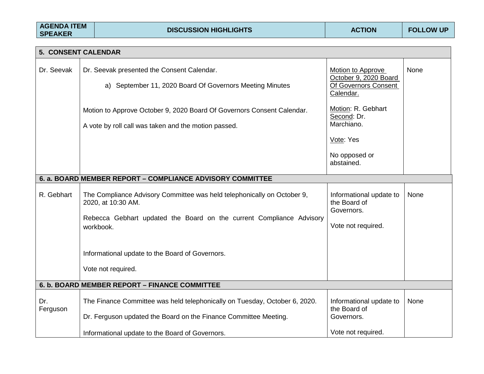| <b>AGENDA ITEM</b><br><b>SPEAKER</b> |                                                                       | <b>DISCUSSION HIGHLIGHTS</b>                                                                                                                    | <b>ACTION</b>                                                                               | <b>FOLLOW UP</b> |  |  |
|--------------------------------------|-----------------------------------------------------------------------|-------------------------------------------------------------------------------------------------------------------------------------------------|---------------------------------------------------------------------------------------------|------------------|--|--|
|                                      |                                                                       |                                                                                                                                                 |                                                                                             |                  |  |  |
| 5. CONSENT CALENDAR                  |                                                                       |                                                                                                                                                 |                                                                                             |                  |  |  |
| Dr. Seevak                           | Dr. Seevak presented the Consent Calendar.                            | a) September 11, 2020 Board Of Governors Meeting Minutes                                                                                        | <b>Motion to Approve</b><br>October 9, 2020 Board<br>Of Governors Consent<br>Calendar.      | None             |  |  |
|                                      | A vote by roll call was taken and the motion passed.                  | Motion to Approve October 9, 2020 Board Of Governors Consent Calendar.                                                                          | Motion: R. Gebhart<br>Second: Dr.<br>Marchiano.<br>Vote: Yes<br>No opposed or<br>abstained. |                  |  |  |
|                                      |                                                                       |                                                                                                                                                 |                                                                                             |                  |  |  |
|                                      | 6. a. BOARD MEMBER REPORT - COMPLIANCE ADVISORY COMMITTEE             |                                                                                                                                                 |                                                                                             |                  |  |  |
| R. Gebhart                           | 2020, at 10:30 AM.<br>workbook.                                       | The Compliance Advisory Committee was held telephonically on October 9,<br>Rebecca Gebhart updated the Board on the current Compliance Advisory | Informational update to<br>the Board of<br>Governors.<br>Vote not required.                 | None             |  |  |
|                                      | Informational update to the Board of Governors.<br>Vote not required. |                                                                                                                                                 |                                                                                             |                  |  |  |
|                                      | 6. b. BOARD MEMBER REPORT - FINANCE COMMITTEE                         |                                                                                                                                                 |                                                                                             |                  |  |  |
| Dr.<br>Ferguson                      |                                                                       | The Finance Committee was held telephonically on Tuesday, October 6, 2020.<br>Dr. Ferguson updated the Board on the Finance Committee Meeting.  | Informational update to<br>the Board of<br>Governors.                                       | None             |  |  |
|                                      | Informational update to the Board of Governors.                       |                                                                                                                                                 | Vote not required.                                                                          |                  |  |  |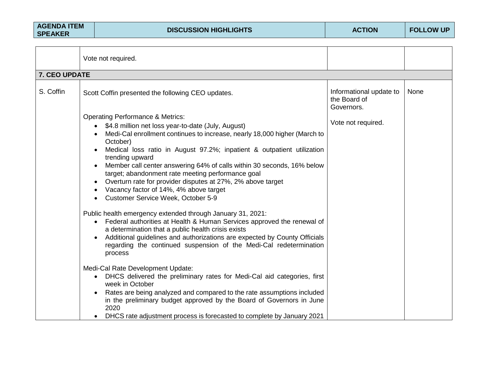| <b>AGENDA ITEM</b><br><b>SPEAKER</b> | <b>DISCUSSION HIGHLIGHTS</b>                                                                                                                                                                                                                                                                                                                                                                                                                                                  | <b>ACTION</b>                                                               | <b>FOLLOW UP</b> |
|--------------------------------------|-------------------------------------------------------------------------------------------------------------------------------------------------------------------------------------------------------------------------------------------------------------------------------------------------------------------------------------------------------------------------------------------------------------------------------------------------------------------------------|-----------------------------------------------------------------------------|------------------|
|                                      | Vote not required.                                                                                                                                                                                                                                                                                                                                                                                                                                                            |                                                                             |                  |
| 7. CEO UPDATE                        |                                                                                                                                                                                                                                                                                                                                                                                                                                                                               |                                                                             |                  |
| S. Coffin                            | Scott Coffin presented the following CEO updates.<br><b>Operating Performance &amp; Metrics:</b><br>\$4.8 million net loss year-to-date (July, August)                                                                                                                                                                                                                                                                                                                        | Informational update to<br>the Board of<br>Governors.<br>Vote not required. | None             |
|                                      | Medi-Cal enrollment continues to increase, nearly 18,000 higher (March to<br>October)<br>Medical loss ratio in August 97.2%; inpatient & outpatient utilization<br>trending upward<br>Member call center answering 64% of calls within 30 seconds, 16% below<br>target; abandonment rate meeting performance goal<br>Overturn rate for provider disputes at 27%, 2% above target<br>Vacancy factor of 14%, 4% above target<br>Customer Service Week, October 5-9<br>$\bullet$ |                                                                             |                  |
|                                      | Public health emergency extended through January 31, 2021:<br>• Federal authorities at Health & Human Services approved the renewal of<br>a determination that a public health crisis exists<br>Additional guidelines and authorizations are expected by County Officials<br>regarding the continued suspension of the Medi-Cal redetermination<br>process                                                                                                                    |                                                                             |                  |
|                                      | Medi-Cal Rate Development Update:<br>DHCS delivered the preliminary rates for Medi-Cal aid categories, first<br>$\bullet$<br>week in October<br>Rates are being analyzed and compared to the rate assumptions included<br>in the preliminary budget approved by the Board of Governors in June<br>2020<br>DHCS rate adjustment process is forecasted to complete by January 2021                                                                                              |                                                                             |                  |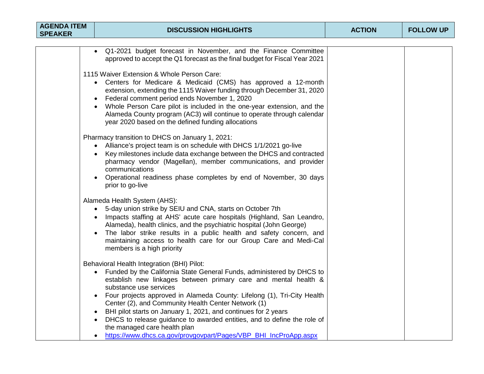| <b>AGENDA ITEM</b><br><b>SPEAKER</b> | <b>DISCUSSION HIGHLIGHTS</b>                                                                                                                                                                                                                                                                                                                                                                                                                                                                                                                                                                                     | <b>ACTION</b> | <b>FOLLOW UP</b> |
|--------------------------------------|------------------------------------------------------------------------------------------------------------------------------------------------------------------------------------------------------------------------------------------------------------------------------------------------------------------------------------------------------------------------------------------------------------------------------------------------------------------------------------------------------------------------------------------------------------------------------------------------------------------|---------------|------------------|
|                                      |                                                                                                                                                                                                                                                                                                                                                                                                                                                                                                                                                                                                                  |               |                  |
|                                      | • Q1-2021 budget forecast in November, and the Finance Committee<br>approved to accept the Q1 forecast as the final budget for Fiscal Year 2021                                                                                                                                                                                                                                                                                                                                                                                                                                                                  |               |                  |
|                                      | 1115 Waiver Extension & Whole Person Care:<br>Centers for Medicare & Medicaid (CMS) has approved a 12-month<br>$\bullet$<br>extension, extending the 1115 Waiver funding through December 31, 2020<br>Federal comment period ends November 1, 2020<br>Whole Person Care pilot is included in the one-year extension, and the<br>Alameda County program (AC3) will continue to operate through calendar<br>year 2020 based on the defined funding allocations                                                                                                                                                     |               |                  |
|                                      | Pharmacy transition to DHCS on January 1, 2021:<br>• Alliance's project team is on schedule with DHCS 1/1/2021 go-live<br>Key milestones include data exchange between the DHCS and contracted<br>pharmacy vendor (Magellan), member communications, and provider<br>communications<br>Operational readiness phase completes by end of November, 30 days<br>prior to go-live                                                                                                                                                                                                                                     |               |                  |
|                                      | Alameda Health System (AHS):<br>• 5-day union strike by SEIU and CNA, starts on October 7th<br>• Impacts staffing at AHS' acute care hospitals (Highland, San Leandro,<br>Alameda), health clinics, and the psychiatric hospital (John George)<br>The labor strike results in a public health and safety concern, and<br>maintaining access to health care for our Group Care and Medi-Cal<br>members is a high priority                                                                                                                                                                                         |               |                  |
|                                      | Behavioral Health Integration (BHI) Pilot:<br>Funded by the California State General Funds, administered by DHCS to<br>$\bullet$<br>establish new linkages between primary care and mental health &<br>substance use services<br>Four projects approved in Alameda County: Lifelong (1), Tri-City Health<br>Center (2), and Community Health Center Network (1)<br>BHI pilot starts on January 1, 2021, and continues for 2 years<br>DHCS to release guidance to awarded entities, and to define the role of<br>the managed care health plan<br>https://www.dhcs.ca.gov/provgovpart/Pages/VBP_BHI_IncProApp.aspx |               |                  |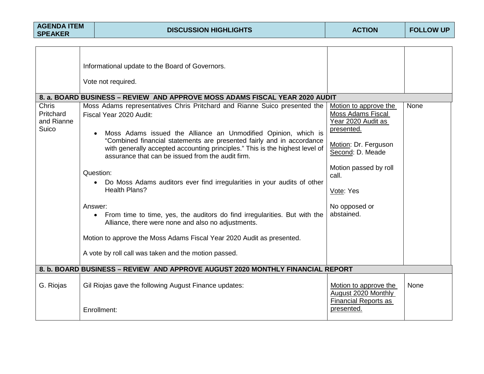| <b>AGENDA ITEM</b><br><b>SPEAKER</b>      |                                                                                | <b>DISCUSSION HIGHLIGHTS</b>                                                                                                                                                                                                                                                                                                                                                                                                                                                                                                                                                                                                                                                                                                                                                                                                                                                                                                                    | <b>ACTION</b>                                                                                                                                                                                            | <b>FOLLOW UP</b> |  |
|-------------------------------------------|--------------------------------------------------------------------------------|-------------------------------------------------------------------------------------------------------------------------------------------------------------------------------------------------------------------------------------------------------------------------------------------------------------------------------------------------------------------------------------------------------------------------------------------------------------------------------------------------------------------------------------------------------------------------------------------------------------------------------------------------------------------------------------------------------------------------------------------------------------------------------------------------------------------------------------------------------------------------------------------------------------------------------------------------|----------------------------------------------------------------------------------------------------------------------------------------------------------------------------------------------------------|------------------|--|
| Chris<br>Pritchard<br>and Rianne<br>Suico |                                                                                | Informational update to the Board of Governors.<br>Vote not required.<br>8. a. BOARD BUSINESS – REVIEW AND APPROVE MOSS ADAMS FISCAL YEAR 2020 AUDIT<br>Moss Adams representatives Chris Pritchard and Rianne Suico presented the<br>Fiscal Year 2020 Audit:<br>Moss Adams issued the Alliance an Unmodified Opinion, which is<br>"Combined financial statements are presented fairly and in accordance<br>with generally accepted accounting principles." This is the highest level of<br>assurance that can be issued from the audit firm.<br>Question:<br>• Do Moss Adams auditors ever find irregularities in your audits of other<br><b>Health Plans?</b><br>Answer:<br>• From time to time, yes, the auditors do find irregularities. But with the<br>Alliance, there were none and also no adjustments.<br>Motion to approve the Moss Adams Fiscal Year 2020 Audit as presented.<br>A vote by roll call was taken and the motion passed. | Motion to approve the<br>Moss Adams Fiscal<br>Year 2020 Audit as<br>presented.<br>Motion: Dr. Ferguson<br>Second: D. Meade<br>Motion passed by roll<br>call.<br>Vote: Yes<br>No opposed or<br>abstained. | None             |  |
|                                           | 8. b. BOARD BUSINESS - REVIEW AND APPROVE AUGUST 2020 MONTHLY FINANCIAL REPORT |                                                                                                                                                                                                                                                                                                                                                                                                                                                                                                                                                                                                                                                                                                                                                                                                                                                                                                                                                 |                                                                                                                                                                                                          |                  |  |
| G. Riojas                                 |                                                                                | Gil Riojas gave the following August Finance updates:<br>Enrollment:                                                                                                                                                                                                                                                                                                                                                                                                                                                                                                                                                                                                                                                                                                                                                                                                                                                                            | Motion to approve the<br>August 2020 Monthly<br>Financial Reports as<br>presented.                                                                                                                       | None             |  |
|                                           |                                                                                |                                                                                                                                                                                                                                                                                                                                                                                                                                                                                                                                                                                                                                                                                                                                                                                                                                                                                                                                                 |                                                                                                                                                                                                          |                  |  |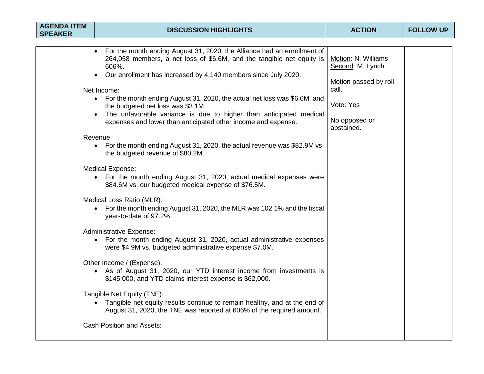| <b>AGENDA ITEM</b><br><b>SPEAKER</b> | <b>DISCUSSION HIGHLIGHTS</b>                                                                                                                                                                  | <b>ACTION</b>                           | <b>FOLLOW UP</b> |
|--------------------------------------|-----------------------------------------------------------------------------------------------------------------------------------------------------------------------------------------------|-----------------------------------------|------------------|
|                                      |                                                                                                                                                                                               |                                         |                  |
|                                      | For the month ending August 31, 2020, the Alliance had an enrollment of<br>264,058 members, a net loss of \$6.6M, and the tangible net equity is<br>606%.                                     | Motion: N. Williams<br>Second: M. Lynch |                  |
|                                      | Our enrollment has increased by 4,140 members since July 2020.<br>Net Income:                                                                                                                 | Motion passed by roll<br>call.          |                  |
|                                      | • For the month ending August 31, 2020, the actual net loss was \$6.6M, and<br>the budgeted net loss was \$3.1M.                                                                              | Vote: Yes                               |                  |
|                                      | The unfavorable variance is due to higher than anticipated medical<br>expenses and lower than anticipated other income and expense.                                                           | No opposed or<br>abstained.             |                  |
|                                      | Revenue:<br>For the month ending August 31, 2020, the actual revenue was \$82.9M vs.<br>the budgeted revenue of \$80.2M.                                                                      |                                         |                  |
|                                      | <b>Medical Expense:</b><br>• For the month ending August 31, 2020, actual medical expenses were<br>\$84.6M vs. our budgeted medical expense of \$76.5M.                                       |                                         |                  |
|                                      | Medical Loss Ratio (MLR):<br>For the month ending August 31, 2020, the MLR was 102.1% and the fiscal<br>$\bullet$<br>year-to-date of 97.2%.                                                   |                                         |                  |
|                                      | <b>Administrative Expense:</b><br>For the month ending August 31, 2020, actual administrative expenses<br>were \$4.9M vs. budgeted administrative expense \$7.0M.                             |                                         |                  |
|                                      | Other Income / (Expense):<br>• As of August 31, 2020, our YTD interest income from investments is<br>\$145,000, and YTD claims interest expense is \$62,000.                                  |                                         |                  |
|                                      | Tangible Net Equity (TNE):<br>Tangible net equity results continue to remain healthy, and at the end of<br>$\bullet$<br>August 31, 2020, the TNE was reported at 606% of the required amount. |                                         |                  |
|                                      | <b>Cash Position and Assets:</b>                                                                                                                                                              |                                         |                  |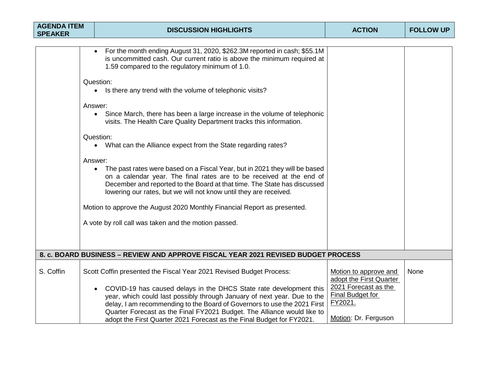| For the month ending August 31, 2020, \$262.3M reported in cash; \$55.1M<br>is uncommitted cash. Our current ratio is above the minimum required at<br>1.59 compared to the regulatory minimum of 1.0.<br>Question:                                                                                                                                                                                                                                                                                                                                                                                                                                                                                                                                                                                |                                                                                                                |                                                                                                           |
|----------------------------------------------------------------------------------------------------------------------------------------------------------------------------------------------------------------------------------------------------------------------------------------------------------------------------------------------------------------------------------------------------------------------------------------------------------------------------------------------------------------------------------------------------------------------------------------------------------------------------------------------------------------------------------------------------------------------------------------------------------------------------------------------------|----------------------------------------------------------------------------------------------------------------|-----------------------------------------------------------------------------------------------------------|
| • Is there any trend with the volume of telephonic visits?<br>Answer:<br>Since March, there has been a large increase in the volume of telephonic<br>$\bullet$<br>visits. The Health Care Quality Department tracks this information.<br>Question:<br>What can the Alliance expect from the State regarding rates?<br>$\bullet$<br>Answer:<br>The past rates were based on a Fiscal Year, but in 2021 they will be based<br>$\bullet$<br>on a calendar year. The final rates are to be received at the end of<br>December and reported to the Board at that time. The State has discussed<br>lowering our rates, but we will not know until they are received.<br>Motion to approve the August 2020 Monthly Financial Report as presented.<br>A vote by roll call was taken and the motion passed. |                                                                                                                |                                                                                                           |
|                                                                                                                                                                                                                                                                                                                                                                                                                                                                                                                                                                                                                                                                                                                                                                                                    |                                                                                                                |                                                                                                           |
| Scott Coffin presented the Fiscal Year 2021 Revised Budget Process:<br>COVID-19 has caused delays in the DHCS State rate development this<br>year, which could last possibly through January of next year. Due to the<br>delay, I am recommending to the Board of Governors to use the 2021 First<br>Quarter Forecast as the Final FY2021 Budget. The Alliance would like to                                                                                                                                                                                                                                                                                                                                                                                                                       | Motion to approve and<br>adopt the First Quarter<br>2021 Forecast as the<br><b>Final Budget for</b><br>FY2021. | None                                                                                                      |
|                                                                                                                                                                                                                                                                                                                                                                                                                                                                                                                                                                                                                                                                                                                                                                                                    | adopt the First Quarter 2021 Forecast as the Final Budget for FY2021.                                          | 8. c. BOARD BUSINESS - REVIEW AND APPROVE FISCAL YEAR 2021 REVISED BUDGET PROCESS<br>Motion: Dr. Ferguson |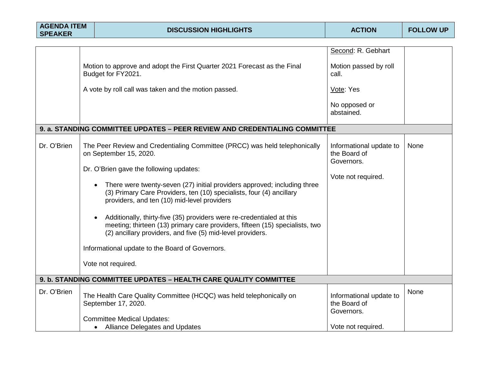| <b>AGENDA ITEM</b><br><b>SPEAKER</b> |                                                                  | <b>DISCUSSION HIGHLIGHTS</b>                                                                                                                                                                                        | <b>ACTION</b>                                         | <b>FOLLOW UP</b> |  |  |
|--------------------------------------|------------------------------------------------------------------|---------------------------------------------------------------------------------------------------------------------------------------------------------------------------------------------------------------------|-------------------------------------------------------|------------------|--|--|
|                                      |                                                                  |                                                                                                                                                                                                                     |                                                       |                  |  |  |
|                                      |                                                                  |                                                                                                                                                                                                                     | Second: R. Gebhart                                    |                  |  |  |
|                                      |                                                                  | Motion to approve and adopt the First Quarter 2021 Forecast as the Final<br>Budget for FY2021.                                                                                                                      | Motion passed by roll<br>call.                        |                  |  |  |
|                                      |                                                                  | A vote by roll call was taken and the motion passed.                                                                                                                                                                | Vote: Yes                                             |                  |  |  |
|                                      |                                                                  |                                                                                                                                                                                                                     | No opposed or<br>abstained.                           |                  |  |  |
|                                      |                                                                  | 9. a. STANDING COMMITTEE UPDATES - PEER REVIEW AND CREDENTIALING COMMITTEE                                                                                                                                          |                                                       |                  |  |  |
| Dr. O'Brien                          |                                                                  | The Peer Review and Credentialing Committee (PRCC) was held telephonically<br>on September 15, 2020.                                                                                                                | Informational update to<br>the Board of<br>Governors. | None             |  |  |
|                                      |                                                                  | Dr. O'Brien gave the following updates:                                                                                                                                                                             |                                                       |                  |  |  |
|                                      |                                                                  | There were twenty-seven (27) initial providers approved; including three<br>(3) Primary Care Providers, ten (10) specialists, four (4) ancillary<br>providers, and ten (10) mid-level providers                     | Vote not required.                                    |                  |  |  |
|                                      |                                                                  | Additionally, thirty-five (35) providers were re-credentialed at this<br>meeting; thirteen (13) primary care providers, fifteen (15) specialists, two<br>(2) ancillary providers, and five (5) mid-level providers. |                                                       |                  |  |  |
|                                      |                                                                  | Informational update to the Board of Governors.                                                                                                                                                                     |                                                       |                  |  |  |
|                                      |                                                                  | Vote not required.                                                                                                                                                                                                  |                                                       |                  |  |  |
|                                      | 9. b. STANDING COMMITTEE UPDATES - HEALTH CARE QUALITY COMMITTEE |                                                                                                                                                                                                                     |                                                       |                  |  |  |
| Dr. O'Brien                          |                                                                  | The Health Care Quality Committee (HCQC) was held telephonically on<br>September 17, 2020.                                                                                                                          | Informational update to<br>the Board of<br>Governors. | None             |  |  |
|                                      |                                                                  | <b>Committee Medical Updates:</b><br><b>Alliance Delegates and Updates</b><br>$\bullet$                                                                                                                             | Vote not required.                                    |                  |  |  |
|                                      |                                                                  |                                                                                                                                                                                                                     |                                                       |                  |  |  |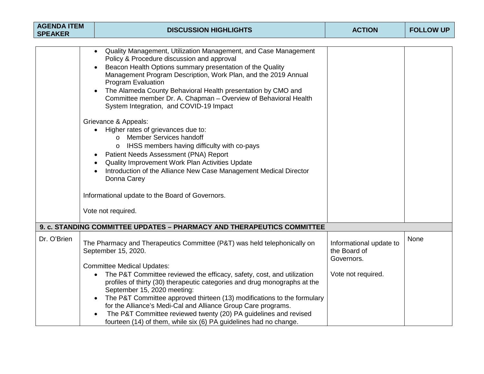| <b>AGENDA ITEM</b><br><b>SPEAKER</b> | <b>DISCUSSION HIGHLIGHTS</b>                                                                                                                                                                                                                                                                                                                                                                                                                                                                                                                                                                                                                                                                                                                                                                                                                                                  | <b>ACTION</b>                                         | <b>FOLLOW UP</b> |
|--------------------------------------|-------------------------------------------------------------------------------------------------------------------------------------------------------------------------------------------------------------------------------------------------------------------------------------------------------------------------------------------------------------------------------------------------------------------------------------------------------------------------------------------------------------------------------------------------------------------------------------------------------------------------------------------------------------------------------------------------------------------------------------------------------------------------------------------------------------------------------------------------------------------------------|-------------------------------------------------------|------------------|
|                                      | Quality Management, Utilization Management, and Case Management<br>Policy & Procedure discussion and approval<br>Beacon Health Options summary presentation of the Quality<br>Management Program Description, Work Plan, and the 2019 Annual<br><b>Program Evaluation</b><br>The Alameda County Behavioral Health presentation by CMO and<br>Committee member Dr. A. Chapman - Overview of Behavioral Health<br>System Integration, and COVID-19 Impact<br>Grievance & Appeals:<br>• Higher rates of grievances due to:<br><b>Member Services handoff</b><br>$\Omega$<br>IHSS members having difficulty with co-pays<br>Patient Needs Assessment (PNA) Report<br>Quality Improvement Work Plan Activities Update<br>Introduction of the Alliance New Case Management Medical Director<br>Donna Carey<br>Informational update to the Board of Governors.<br>Vote not required. |                                                       |                  |
|                                      | 9. c. STANDING COMMITTEE UPDATES - PHARMACY AND THERAPEUTICS COMMITTEE                                                                                                                                                                                                                                                                                                                                                                                                                                                                                                                                                                                                                                                                                                                                                                                                        |                                                       |                  |
| Dr. O'Brien                          | The Pharmacy and Therapeutics Committee (P&T) was held telephonically on<br>September 15, 2020.<br><b>Committee Medical Updates:</b>                                                                                                                                                                                                                                                                                                                                                                                                                                                                                                                                                                                                                                                                                                                                          | Informational update to<br>the Board of<br>Governors. | None             |
|                                      | The P&T Committee reviewed the efficacy, safety, cost, and utilization<br>$\bullet$<br>profiles of thirty (30) therapeutic categories and drug monographs at the<br>September 15, 2020 meeting:<br>The P&T Committee approved thirteen (13) modifications to the formulary<br>for the Alliance's Medi-Cal and Alliance Group Care programs.<br>The P&T Committee reviewed twenty (20) PA guidelines and revised<br>fourteen (14) of them, while six (6) PA guidelines had no change.                                                                                                                                                                                                                                                                                                                                                                                          | Vote not required.                                    |                  |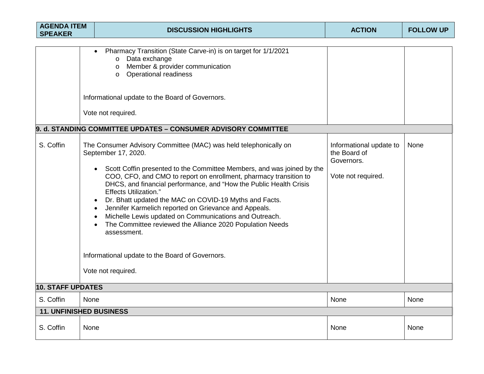| <b>AGENDA ITEM</b><br><b>SPEAKER</b> |      | <b>DISCUSSION HIGHLIGHTS</b>                                                                                                                                                                                                                                                                                                                                                                                                                                                                                                                                                                                                                                                    | <b>ACTION</b>                                                               | <b>FOLLOW UP</b> |
|--------------------------------------|------|---------------------------------------------------------------------------------------------------------------------------------------------------------------------------------------------------------------------------------------------------------------------------------------------------------------------------------------------------------------------------------------------------------------------------------------------------------------------------------------------------------------------------------------------------------------------------------------------------------------------------------------------------------------------------------|-----------------------------------------------------------------------------|------------------|
| S. Coffin                            |      | Pharmacy Transition (State Carve-in) is on target for 1/1/2021<br>Data exchange<br>$\Omega$<br>Member & provider communication<br>$\circ$<br><b>Operational readiness</b><br>$\circ$<br>Informational update to the Board of Governors.<br>Vote not required.<br>9. d. STANDING COMMITTEE UPDATES - CONSUMER ADVISORY COMMITTEE<br>The Consumer Advisory Committee (MAC) was held telephonically on<br>September 17, 2020.<br>Scott Coffin presented to the Committee Members, and was joined by the<br>COO, CFO, and CMO to report on enrollment, pharmacy transition to<br>DHCS, and financial performance, and "How the Public Health Crisis<br><b>Effects Utilization."</b> | Informational update to<br>the Board of<br>Governors.<br>Vote not required. | None             |
|                                      |      | Dr. Bhatt updated the MAC on COVID-19 Myths and Facts.<br>$\bullet$<br>Jennifer Karmelich reported on Grievance and Appeals.<br>Michelle Lewis updated on Communications and Outreach.<br>The Committee reviewed the Alliance 2020 Population Needs<br>assessment.<br>Informational update to the Board of Governors.                                                                                                                                                                                                                                                                                                                                                           |                                                                             |                  |
|                                      |      | Vote not required.                                                                                                                                                                                                                                                                                                                                                                                                                                                                                                                                                                                                                                                              |                                                                             |                  |
| <b>10. STAFF UPDATES</b>             |      |                                                                                                                                                                                                                                                                                                                                                                                                                                                                                                                                                                                                                                                                                 |                                                                             |                  |
| S. Coffin                            | None |                                                                                                                                                                                                                                                                                                                                                                                                                                                                                                                                                                                                                                                                                 | None                                                                        | None             |
| <b>11. UNFINISHED BUSINESS</b>       |      |                                                                                                                                                                                                                                                                                                                                                                                                                                                                                                                                                                                                                                                                                 |                                                                             |                  |
| S. Coffin                            | None |                                                                                                                                                                                                                                                                                                                                                                                                                                                                                                                                                                                                                                                                                 | None                                                                        | None             |